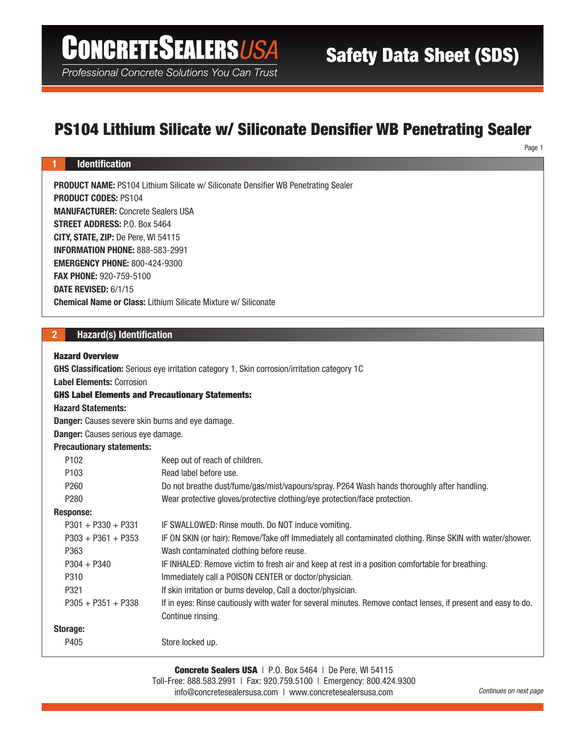# **CONCRETESEALERSUSA**

Professional Concrete Solutions You Can Trust

# PS104 Lithium Silicate w/ Siliconate Densifier WB Penetrating Sealer

Page 1

### 1 Identification

PRODUCT NAME: PS104 Lithium Silicate w/ Siliconate Densifier WB Penetrating Sealer PRODUCT CODES: PS104 MANUFACTURER: Concrete Sealers USA STREET ADDRESS: P.O. Box 5464 CITY, STATE, ZIP: De Pere, WI 54115 INFORMATION PHONE: 888-583-2991 EMERGENCY PHONE: 800-424-9300 FAX PHONE: 920-759-5100 DATE REVISED: 6/1/15 Chemical Name or Class: Lithium Silicate Mixture w/ Siliconate

# 2 Hazard(s) Identification

#### Hazard Overview

GHS Classification: Serious eye irritation category 1, Skin corrosion/irritation category 1C

Label Elements: Corrosion

#### GHS Label Elements and Precautionary Statements:

Hazard Statements:

Danger: Causes severe skin burns and eye damage.

Danger: Causes serious eye damage.

### Precautionary statements:

| P <sub>102</sub>     | Keep out of reach of children.                                                                                 |
|----------------------|----------------------------------------------------------------------------------------------------------------|
| P <sub>103</sub>     | Read label before use.                                                                                         |
| P <sub>260</sub>     | Do not breathe dust/fume/gas/mist/vapours/spray. P264 Wash hands thoroughly after handling.                    |
| P <sub>280</sub>     | Wear protective gloves/protective clothing/eye protection/face protection.                                     |
| Response:            |                                                                                                                |
| $P301 + P330 + P331$ | IF SWALLOWED: Rinse mouth. Do NOT induce vomiting.                                                             |
| $P303 + P361 + P353$ | IF ON SKIN (or hair): Remove/Take off Immediately all contaminated clothing. Rinse SKIN with water/shower.     |
| P <sub>363</sub>     | Wash contaminated clothing before reuse.                                                                       |
| $P304 + P340$        | IF INHALED: Remove victim to fresh air and keep at rest in a position comfortable for breathing.               |
| P310                 | Immediately call a POISON CENTER or doctor/physician.                                                          |
| P321                 | If skin irritation or burns develop, Call a doctor/physician.                                                  |
| $P305 + P351 + P338$ | If in eyes: Rinse cautiously with water for several minutes. Remove contact lenses, if present and easy to do. |
|                      | Continue rinsing.                                                                                              |
| Storage:             |                                                                                                                |
| P405                 | Store locked up.                                                                                               |
|                      |                                                                                                                |

Concrete Sealers USA | P.O. Box 5464 | De Pere, WI 54115 Toll-Free: 888.583.2991 | Fax: 920.759.5100 | Emergency: 800.424.9300 info@concretesealersusa.com | www.concretesealersusa.com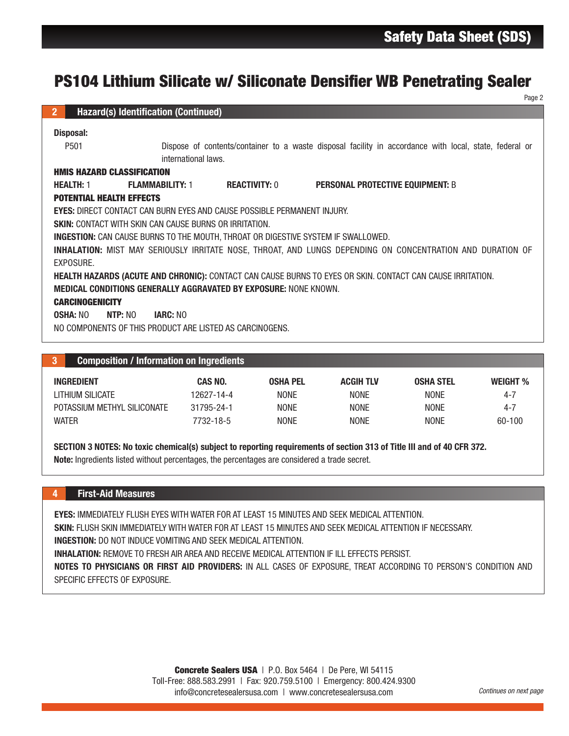| PS104 Lithium Silicate w/ Siliconate Densifier WB Penetrating Sealer                                                   |                                                                                                                               |                      |                                         |                  |                 |  |  |  |  |  |
|------------------------------------------------------------------------------------------------------------------------|-------------------------------------------------------------------------------------------------------------------------------|----------------------|-----------------------------------------|------------------|-----------------|--|--|--|--|--|
| <b>Hazard(s) Identification (Continued)</b><br>2 <sup>1</sup>                                                          |                                                                                                                               |                      |                                         |                  | Page 2          |  |  |  |  |  |
|                                                                                                                        |                                                                                                                               |                      |                                         |                  |                 |  |  |  |  |  |
| <b>Disposal:</b>                                                                                                       |                                                                                                                               |                      |                                         |                  |                 |  |  |  |  |  |
| P501                                                                                                                   | Dispose of contents/container to a waste disposal facility in accordance with local, state, federal or<br>international laws. |                      |                                         |                  |                 |  |  |  |  |  |
| <b>HMIS HAZARD CLASSIFICATION</b>                                                                                      |                                                                                                                               |                      |                                         |                  |                 |  |  |  |  |  |
| <b>FLAMMABILITY: 1</b><br><b>HEALTH: 1</b>                                                                             |                                                                                                                               | <b>REACTIVITY: 0</b> | <b>PERSONAL PROTECTIVE EQUIPMENT: B</b> |                  |                 |  |  |  |  |  |
| <b>POTENTIAL HEALTH EFFECTS</b>                                                                                        |                                                                                                                               |                      |                                         |                  |                 |  |  |  |  |  |
| <b>EYES: DIRECT CONTACT CAN BURN EYES AND CAUSE POSSIBLE PERMANENT INJURY.</b>                                         |                                                                                                                               |                      |                                         |                  |                 |  |  |  |  |  |
| <b>SKIN: CONTACT WITH SKIN CAN CAUSE BURNS OR IRRITATION.</b>                                                          |                                                                                                                               |                      |                                         |                  |                 |  |  |  |  |  |
| <b>INGESTION:</b> CAN CAUSE BURNS TO THE MOUTH, THROAT OR DIGESTIVE SYSTEM IF SWALLOWED.                               |                                                                                                                               |                      |                                         |                  |                 |  |  |  |  |  |
| INHALATION: MIST MAY SERIOUSLY IRRITATE NOSE, THROAT, AND LUNGS DEPENDING ON CONCENTRATION AND DURATION OF             |                                                                                                                               |                      |                                         |                  |                 |  |  |  |  |  |
| EXPOSURE.                                                                                                              |                                                                                                                               |                      |                                         |                  |                 |  |  |  |  |  |
| HEALTH HAZARDS (ACUTE AND CHRONIC): CONTACT CAN CAUSE BURNS TO EYES OR SKIN. CONTACT CAN CAUSE IRRITATION.             |                                                                                                                               |                      |                                         |                  |                 |  |  |  |  |  |
| <b>MEDICAL CONDITIONS GENERALLY AGGRAVATED BY EXPOSURE: NONE KNOWN.</b>                                                |                                                                                                                               |                      |                                         |                  |                 |  |  |  |  |  |
| <b>CARCINOGENICITY</b>                                                                                                 |                                                                                                                               |                      |                                         |                  |                 |  |  |  |  |  |
| <b>OSHA: NO</b><br>NTP: NO<br><b>IARC: NO</b>                                                                          |                                                                                                                               |                      |                                         |                  |                 |  |  |  |  |  |
| NO COMPONENTS OF THIS PRODUCT ARE LISTED AS CARCINOGENS.                                                               |                                                                                                                               |                      |                                         |                  |                 |  |  |  |  |  |
|                                                                                                                        |                                                                                                                               |                      |                                         |                  |                 |  |  |  |  |  |
| <b>Composition / Information on Ingredients</b><br>3                                                                   |                                                                                                                               |                      |                                         |                  |                 |  |  |  |  |  |
| <b>INGREDIENT</b>                                                                                                      | <b>CAS NO.</b>                                                                                                                | <b>OSHA PEL</b>      | <b>ACGIH TLV</b>                        | <b>OSHA STEL</b> | <b>WEIGHT %</b> |  |  |  |  |  |
| <b>LITHIUM SILICATE</b>                                                                                                | 12627-14-4                                                                                                                    | <b>NONE</b>          | <b>NONE</b>                             | <b>NONE</b>      | $4 - 7$         |  |  |  |  |  |
| POTASSIUM METHYL SILICONATE                                                                                            | 31795-24-1                                                                                                                    | <b>NONE</b>          | <b>NONE</b>                             | <b>NONE</b>      | $4 - 7$         |  |  |  |  |  |
| <b>WATER</b>                                                                                                           | 7732-18-5                                                                                                                     | <b>NONE</b>          | <b>NONE</b>                             | <b>NONE</b>      | 60-100          |  |  |  |  |  |
|                                                                                                                        |                                                                                                                               |                      |                                         |                  |                 |  |  |  |  |  |
| SECTION 3 NOTES: No toxic chemical(s) subject to reporting requirements of section 313 of Title III and of 40 CFR 372. |                                                                                                                               |                      |                                         |                  |                 |  |  |  |  |  |
| Note: Ingredients listed without percentages, the percentages are considered a trade secret.                           |                                                                                                                               |                      |                                         |                  |                 |  |  |  |  |  |
|                                                                                                                        |                                                                                                                               |                      |                                         |                  |                 |  |  |  |  |  |
|                                                                                                                        |                                                                                                                               |                      |                                         |                  |                 |  |  |  |  |  |
| <b>First-Aid Measures</b><br>4                                                                                         |                                                                                                                               |                      |                                         |                  |                 |  |  |  |  |  |
| <b>EYES: IMMEDIATELY FLUSH EYES WITH WATER FOR AT LEAST 15 MINUTES AND SEEK MEDICAL ATTENTION.</b>                     |                                                                                                                               |                      |                                         |                  |                 |  |  |  |  |  |
| SKIN: FLUSH SKIN IMMEDIATELY WITH WATER FOR AT LEAST 15 MINUTES AND SEEK MEDICAL ATTENTION IF NECESSARY.               |                                                                                                                               |                      |                                         |                  |                 |  |  |  |  |  |
| <b>INGESTION:</b> DO NOT INDUCE VOMITING AND SEEK MEDICAL ATTENTION.                                                   |                                                                                                                               |                      |                                         |                  |                 |  |  |  |  |  |
| <b>INHALATION:</b> REMOVE TO FRESH AIR AREA AND RECEIVE MEDICAL ATTENTION IF ILL EFFECTS PERSIST.                      |                                                                                                                               |                      |                                         |                  |                 |  |  |  |  |  |
| NOTES TO PHYSICIANS OR FIRST AID PROVIDERS: IN ALL CASES OF EXPOSURE, TREAT ACCORDING TO PERSON'S CONDITION AND        |                                                                                                                               |                      |                                         |                  |                 |  |  |  |  |  |
| SPECIFIC EFFECTS OF EXPOSURE.                                                                                          |                                                                                                                               |                      |                                         |                  |                 |  |  |  |  |  |
|                                                                                                                        |                                                                                                                               |                      |                                         |                  |                 |  |  |  |  |  |
|                                                                                                                        |                                                                                                                               |                      |                                         |                  |                 |  |  |  |  |  |
|                                                                                                                        |                                                                                                                               |                      |                                         |                  |                 |  |  |  |  |  |
|                                                                                                                        |                                                                                                                               |                      |                                         |                  |                 |  |  |  |  |  |
|                                                                                                                        |                                                                                                                               |                      |                                         |                  |                 |  |  |  |  |  |
| <b>Concrete Sealers USA</b>   P.O. Box 5464   De Pere, WI 54115                                                        |                                                                                                                               |                      |                                         |                  |                 |  |  |  |  |  |

| 73 J                        | <b>Composition / Information on Ingredients</b> |                 |                  |                  |          |  |  |
|-----------------------------|-------------------------------------------------|-----------------|------------------|------------------|----------|--|--|
| <b>INGREDIENT</b>           | CAS NO.                                         | <b>OSHA PEL</b> | <b>ACGIH TLV</b> | <b>OSHA STEL</b> | WEIGHT % |  |  |
| LITHIUM SILICATE            | 12627-14-4                                      | <b>NONE</b>     | <b>NONE</b>      | <b>NONE</b>      | 4-7      |  |  |
| POTASSIUM METHYL SILICONATE | 31795-24-1                                      | <b>NONE</b>     | <b>NONE</b>      | <b>NONE</b>      | 4-7      |  |  |
| <b>WATER</b>                | 7732-18-5                                       | <b>NONE</b>     | <b>NONE</b>      | <b>NONE</b>      | 60-100   |  |  |

#### 4 First-Aid Measures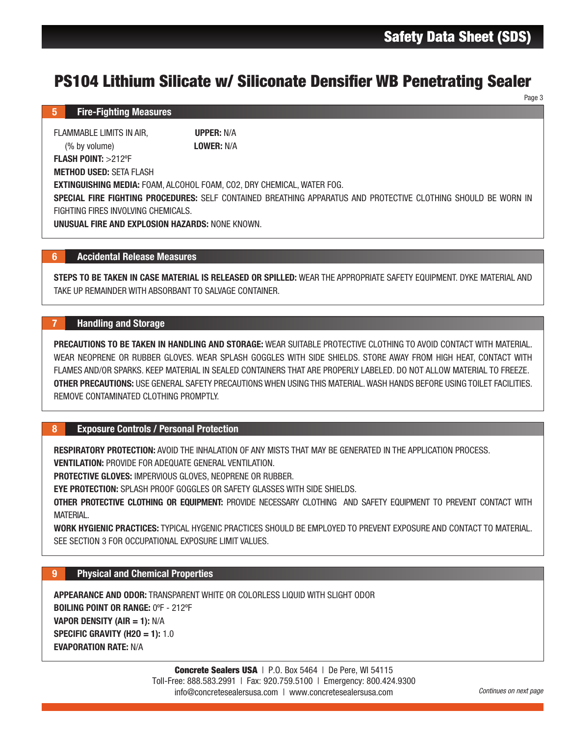Page 3

#### 5 Fire-Fighting Measures

FLAMMABLE LIMITS IN AIR. **UPPER:** N/A (% by volume) LOWER: N/A FLASH POINT: >212ºF METHOD USED: SETA FLASH EXTINGUISHING MEDIA: FOAM, ALCOHOL FOAM, CO2, DRY CHEMICAL, WATER FOG.

SPECIAL FIRE FIGHTING PROCEDURES: SELF CONTAINED BREATHING APPARATUS AND PROTECTIVE CLOTHING SHOULD BE WORN IN FIGHTING FIRES INVOLVING CHEMICALS.

UNUSUAL FIRE AND EXPLOSION HAZARDS: NONE KNOWN.

### 6 Accidental Release Measures

STEPS TO BE TAKEN IN CASE MATERIAL IS RELEASED OR SPILLED: WEAR THE APPROPRIATE SAFETY EQUIPMENT. DYKE MATERIAL AND TAKE UP REMAINDER WITH ABSORBANT TO SALVAGE CONTAINER.

# 7 Handling and Storage

**EMICAL, WATER FOG.**<br>HEMICAL, WATER FOG.<br>HEMICAL, WATER FOG.<br>AREATHING APPARATUS AND PROTECTIVE CLOTHING SHOULD BE WORK<br>PILLED: WEAR THE APPROPENATE SAFETY EQUIPMENT. DYKE MATERIAL, Z<br>BLES WITH SIDE SHIELDS. STORE AWAY FRO PRECAUTIONS TO BE TAKEN IN HANDLING AND STORAGE: WEAR SUITABLE PROTECTIVE CLOTHING TO AVOID CONTACT WITH MATERIAL. WEAR NEOPRENE OR RUBBER GLOVES. WEAR SPLASH GOGGLES WITH SIDE SHIELDS. STORE AWAY FROM HIGH HEAT, CONTACT WITH FLAMES AND/OR SPARKS. KEEP MATERIAL IN SEALED CONTAINERS THAT ARE PROPERLY LABELED. DO NOT ALLOW MATERIAL TO FREEZE. OTHER PRECAUTIONS: USE GENERAL SAFETY PRECAUTIONS WHEN USING THIS MATERIAL. WASH HANDS BEFORE USING TOILET FACILITIES. REMOVE CONTAMINATED CLOTHING PROMPTLY.

# 8 Exposure Controls / Personal Protection

RESPIRATORY PROTECTION: AVOID THE INHALATION OF ANY MISTS THAT MAY BE GENERATED IN THE APPLICATION PROCESS. VENTILATION: PROVIDE FOR ADEQUATE GENERAL VENTILATION.

PROTECTIVE GLOVES: IMPERVIOUS GLOVES, NEOPRENE OR RUBBER.

EYE PROTECTION: SPLASH PROOF GOGGLES OR SAFETY GLASSES WITH SIDE SHIELDS.

OTHER PROTECTIVE CLOTHING OR EQUIPMENT: PROVIDE NECESSARY CLOTHING AND SAFETY EQUIPMENT TO PREVENT CONTACT WITH MATERIAL.

WORK HYGIENIC PRACTICES: TYPICAL HYGENIC PRACTICES SHOULD BE EMPLOYED TO PREVENT EXPOSURE AND CONTACT TO MATERIAL. SEE SECTION 3 FOR OCCUPATIONAL EXPOSURE LIMIT VALUES.

# 9 Physical and Chemical Properties

APPEARANCE AND ODOR: TRANSPARENT WHITE OR COLORLESS LIQUID WITH SLIGHT ODOR BOILING POINT OR RANGE: 0ºF - 212ºF VAPOR DENSITY (AIR = 1): N/A SPECIFIC GRAVITY (H2O = 1):  $1.0$ EVAPORATION RATE: N/A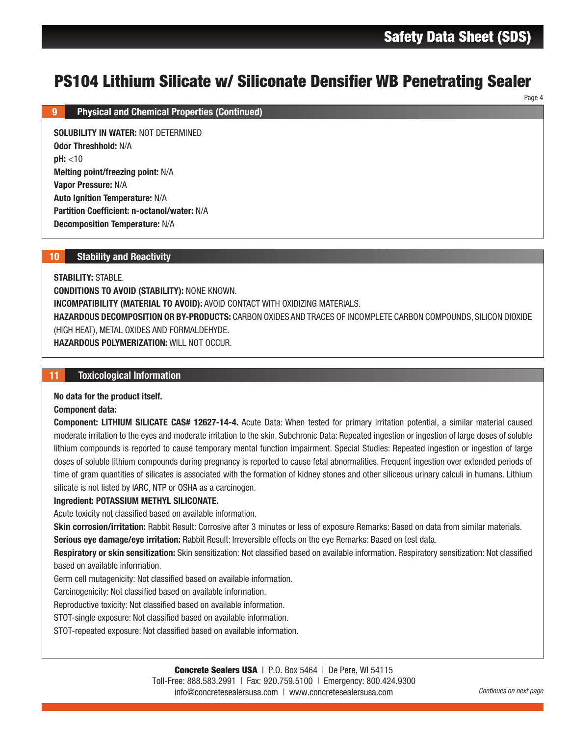Page 4

# PS104 Lithium Silicate w/ Siliconate Densifier WB Penetrating Sealer

#### 9 Physical and Chemical Properties (Continued)

SOLUBILITY IN WATER: NOT DETERMINED Odor Threshhold: N/A  $pH: < 10$ Melting point/freezing point: N/A Vapor Pressure: N/A Auto Ignition Temperature: N/A Partition Coefficient: n-octanol/water: N/A Decomposition Temperature: N/A

#### 10 Stability and Reactivity

STABILITY: STABLE.

CONDITIONS TO AVOID (STABILITY): NONE KNOWN. INCOMPATIBILITY (MATERIAL TO AVOID): AVOID CONTACT WITH OXIDIZING MATERIALS. HAZARDOUS DECOMPOSITION OR BY-PRODUCTS: CARBON OXIDES AND TRACES OF INCOMPLETE CARBON COMPOUNDS, SILICON DIOXIDE (HIGH HEAT), METAL OXIDES AND FORMALDEHYDE. HAZARDOUS POLYMERIZATION: WILL NOT OCCUR.

#### 11 Toxicological Information

#### No data for the product itself.

Component data:

**On atte Densifier WB Penetrating Seal**<br>TH OXIDIZING MATERIALS.<br>RIDES AND TRACES OF INCOMPLETE CARBON COMPOUNDS, SILICON DION<br>International International Control of the Case (Seperated increases)<br>In the sheet of the Sheet Component: LITHIUM SILICATE CAS# 12627-14-4. Acute Data: When tested for primary irritation potential, a similar material caused moderate irritation to the eyes and moderate irritation to the skin. Subchronic Data: Repeated ingestion or ingestion of large doses of soluble lithium compounds is reported to cause temporary mental function impairment. Special Studies: Repeated ingestion or ingestion of large doses of soluble lithium compounds during pregnancy is reported to cause fetal abnormalities. Frequent ingestion over extended periods of time of gram quantities of silicates is associated with the formation of kidney stones and other siliceous urinary calculi in humans. Lithium silicate is not listed by IARC, NTP or OSHA as a carcinogen.

#### Ingredient: POTASSIUM METHYL SILICONATE.

Acute toxicity not classified based on available information.

Skin corrosion/irritation: Rabbit Result: Corrosive after 3 minutes or less of exposure Remarks: Based on data from similar materials. Serious eye damage/eye irritation: Rabbit Result: Irreversible effects on the eye Remarks: Based on test data.

Respiratory or skin sensitization: Skin sensitization: Not classified based on available information. Respiratory sensitization: Not classified based on available information.

Germ cell mutagenicity: Not classified based on available information.

Carcinogenicity: Not classified based on available information.

Reproductive toxicity: Not classified based on available information.

STOT-single exposure: Not classified based on available information.

STOT-repeated exposure: Not classified based on available information.

Toll-Free: 888.583.2991 | Fax: 920.759.5100 | Emergency: 800.424.9300

info@concretesealersusa.com | www.concretesealersusa.com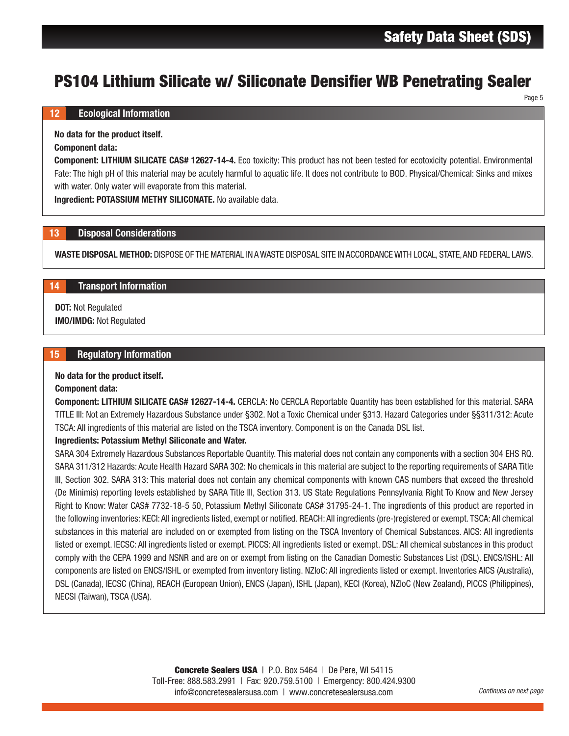Page 5

#### 12 Ecological Information

No data for the product itself.

#### Component data:

Component: LITHIUM SILICATE CAS# 12627-14-4. Eco toxicity: This product has not been tested for ecotoxicity potential. Environmental Fate: The high pH of this material may be acutely harmful to aquatic life. It does not contribute to BOD. Physical/Chemical: Sinks and mixes with water. Only water will evaporate from this material.

Ingredient: POTASSIUM METHY SILICONATE. No available data.

#### 13 Disposal Considerations

WASTE DISPOSAL METHOD: DISPOSE OF THE MATERIAL IN A WASTE DISPOSAL SITE IN ACCORDANCE WITH LOCAL, STATE, AND FEDERAL LAWS.

# 14 Transport Information

DOT: Not Regulated IMO/IMDG: Not Regulated

#### 15 Regulatory Information

#### No data for the product itself.

#### Component data:

Component: LITHIUM SILICATE CAS# 12627-14-4. CERCLA: No CERCLA Reportable Quantity has been established for this material. SARA TITLE III: Not an Extremely Hazardous Substance under §302. Not a Toxic Chemical under §313. Hazard Categories under §§311/312: Acute TSCA: All ingredients of this material are listed on the TSCA inventory. Component is on the Canada DSL list.

#### Ingredients: Potassium Methyl Siliconate and Water.

**Onate Densifier WB Penetrating Seal**<br>
Higherity: This product has not been tested for ecotoxicity potential. Environment<br>
Higherity: This product has not been tested for ecotoxicity potential. Environment<br>
Has the Mac She SARA 304 Extremely Hazardous Substances Reportable Quantity. This material does not contain any components with a section 304 EHS RQ. SARA 311/312 Hazards: Acute Health Hazard SARA 302: No chemicals in this material are subject to the reporting requirements of SARA Title III, Section 302. SARA 313: This material does not contain any chemical components with known CAS numbers that exceed the threshold (De Minimis) reporting levels established by SARA Title III, Section 313. US State Regulations Pennsylvania Right To Know and New Jersey Right to Know: Water CAS# 7732-18-5 50, Potassium Methyl Siliconate CAS# 31795-24-1. The ingredients of this product are reported in the following inventories: KECI: All ingredients listed, exempt or notified. REACH: All ingredients (pre-)registered or exempt. TSCA: All chemical substances in this material are included on or exempted from listing on the TSCA Inventory of Chemical Substances. AICS: All ingredients listed or exempt. IECSC: All ingredients listed or exempt. PICCS: All ingredients listed or exempt. DSL: All chemical substances in this product comply with the CEPA 1999 and NSNR and are on or exempt from listing on the Canadian Domestic Substances List (DSL). ENCS/ISHL: All components are listed on ENCS/ISHL or exempted from inventory listing. NZIoC: All ingredients listed or exempt. Inventories AICS (Australia), DSL (Canada), IECSC (China), REACH (European Union), ENCS (Japan), ISHL (Japan), KECI (Korea), NZIoC (New Zealand), PICCS (Philippines), NECSI (Taiwan), TSCA (USA).